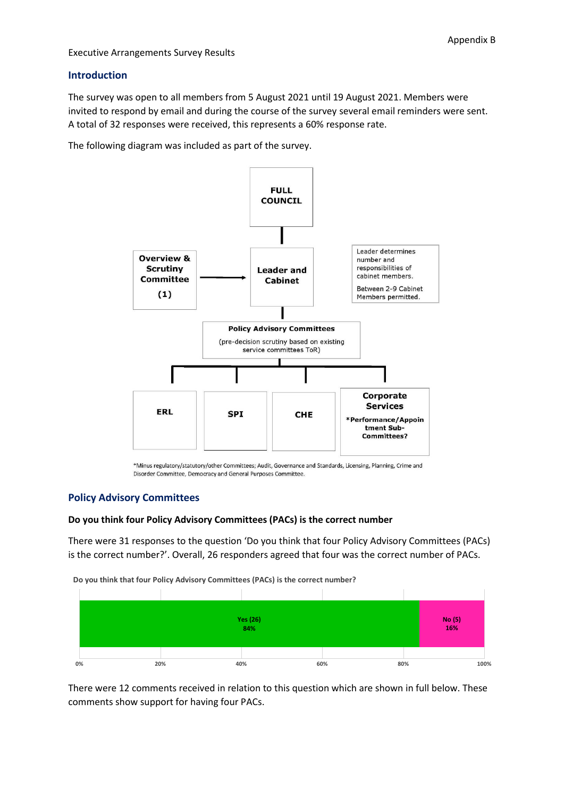### **Introduction**

The survey was open to all members from 5 August 2021 until 19 August 2021. Members were invited to respond by email and during the course of the survey several email reminders were sent. A total of 32 responses were received, this represents a 60% response rate.

The following diagram was included as part of the survey.



\*Minus regulatory/statutory/other Committees; Audit, Governance and Standards, Licensing, Planning, Crime and Disorder Committee, Democracy and General Purposes Committee.

### **Policy Advisory Committees**

### **Do you think four Policy Advisory Committees (PACs) is the correct number**

There were 31 responses to the question 'Do you think that four Policy Advisory Committees (PACs) is the correct number?'. Overall, 26 responders agreed that four was the correct number of PACs.

**Do you think that four Policy Advisory Committees (PACs) is the correct number?**



There were 12 comments received in relation to this question which are shown in full below. These comments show support for having four PACs.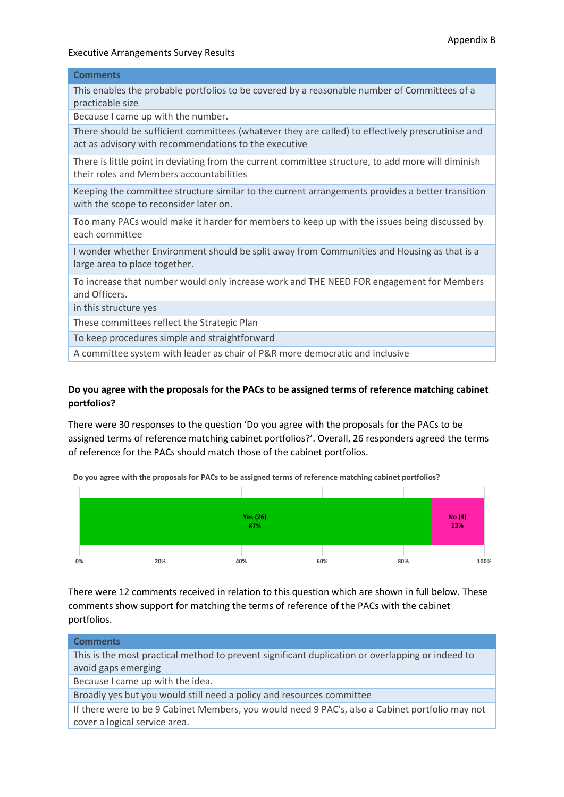### **Comments**

This enables the probable portfolios to be covered by a reasonable number of Committees of a practicable size

Because I came up with the number.

There should be sufficient committees (whatever they are called) to effectively prescrutinise and act as advisory with recommendations to the executive

There is little point in deviating from the current committee structure, to add more will diminish their roles and Members accountabilities

Keeping the committee structure similar to the current arrangements provides a better transition with the scope to reconsider later on.

Too many PACs would make it harder for members to keep up with the issues being discussed by each committee

I wonder whether Environment should be split away from Communities and Housing as that is a large area to place together.

To increase that number would only increase work and THE NEED FOR engagement for Members and Officers.

in this structure yes

These committees reflect the Strategic Plan

To keep procedures simple and straightforward

A committee system with leader as chair of P&R more democratic and inclusive

### **Do you agree with the proposals for the PACs to be assigned terms of reference matching cabinet portfolios?**

There were 30 responses to the question 'Do you agree with the proposals for the PACs to be assigned terms of reference matching cabinet portfolios?'. Overall, 26 responders agreed the terms of reference for the PACs should match those of the cabinet portfolios.

**Yes (26) 87% No (4) 13%**

**0% 20% 40% 60% 80% 100%**

**Do you agree with the proposals for PACs to be assigned terms of reference matching cabinet portfolios?**

There were 12 comments received in relation to this question which are shown in full below. These comments show support for matching the terms of reference of the PACs with the cabinet portfolios.

| <b>Comments</b>                                                                                  |
|--------------------------------------------------------------------------------------------------|
| This is the most practical method to prevent significant duplication or overlapping or indeed to |
| avoid gaps emerging                                                                              |
| Because I came up with the idea.                                                                 |
| Broadly yes but you would still need a policy and resources committee                            |
| If there were to be 9 Cabinet Members, you would need 9 PAC's, also a Cabinet portfolio may not  |
| cover a logical service area.                                                                    |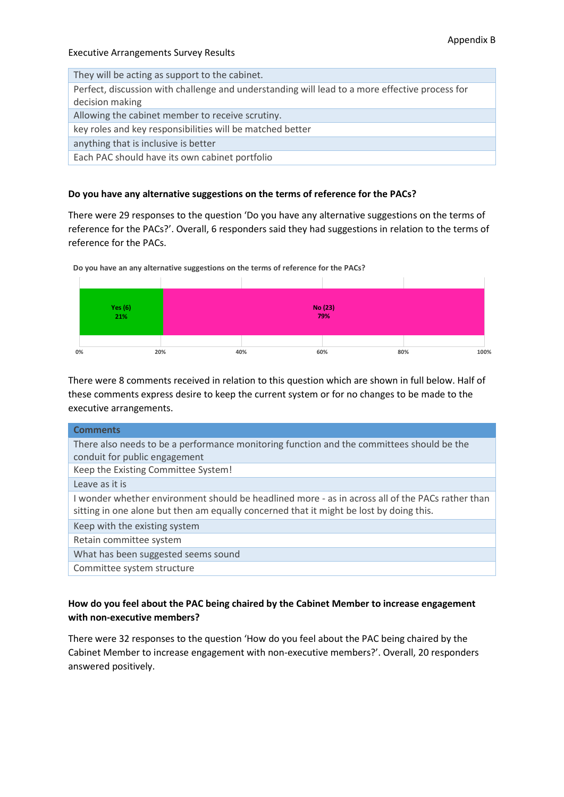| They will be acting as support to the cabinet.                                                 |
|------------------------------------------------------------------------------------------------|
| Perfect, discussion with challenge and understanding will lead to a more effective process for |
| decision making                                                                                |
| Allowing the cabinet member to receive scrutiny.                                               |
| key roles and key responsibilities will be matched better                                      |
| anything that is inclusive is better                                                           |
| Each PAC should have its own cabinet portfolio                                                 |
|                                                                                                |

### **Do you have any alternative suggestions on the terms of reference for the PACs?**

There were 29 responses to the question 'Do you have any alternative suggestions on the terms of reference for the PACs?'. Overall, 6 responders said they had suggestions in relation to the terms of reference for the PACs.



**Do you have an any alternative suggestions on the terms of reference for the PACs?**

There were 8 comments received in relation to this question which are shown in full below. Half of these comments express desire to keep the current system or for no changes to be made to the executive arrangements.

| <b>Comments</b>                                                                                                                                                                             |
|---------------------------------------------------------------------------------------------------------------------------------------------------------------------------------------------|
| There also needs to be a performance monitoring function and the committees should be the                                                                                                   |
| conduit for public engagement                                                                                                                                                               |
| Keep the Existing Committee System!                                                                                                                                                         |
| Leave as it is                                                                                                                                                                              |
| I wonder whether environment should be headlined more - as in across all of the PACs rather than<br>sitting in one alone but then am equally concerned that it might be lost by doing this. |
| Keep with the existing system                                                                                                                                                               |
| Retain committee system                                                                                                                                                                     |
| What has been suggested seems sound                                                                                                                                                         |
| Committee system structure                                                                                                                                                                  |

# **How do you feel about the PAC being chaired by the Cabinet Member to increase engagement with non-executive members?**

There were 32 responses to the question 'How do you feel about the PAC being chaired by the Cabinet Member to increase engagement with non-executive members?'. Overall, 20 responders answered positively.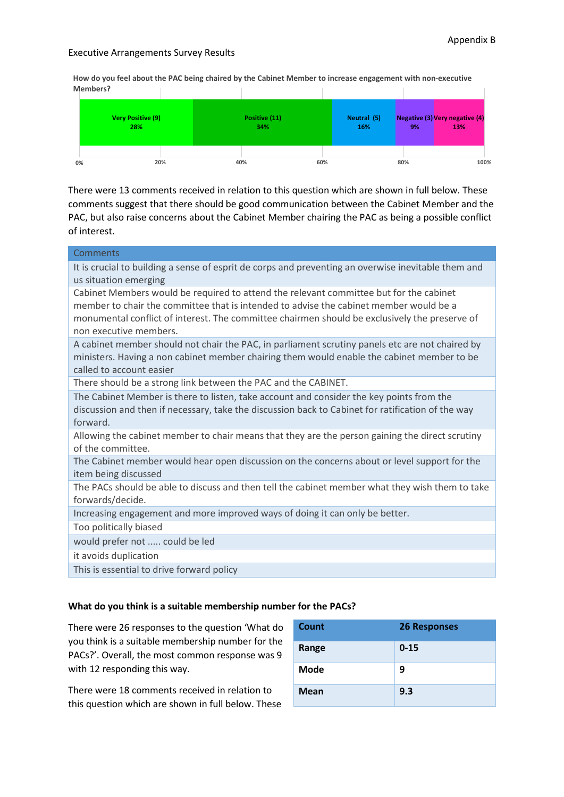**How do you feel about the PAC being chaired by the Cabinet Member to increase engagement with non-executive Members?**



There were 13 comments received in relation to this question which are shown in full below. These comments suggest that there should be good communication between the Cabinet Member and the PAC, but also raise concerns about the Cabinet Member chairing the PAC as being a possible conflict of interest.

| Comments                                                                                                                                                                                                                                                                                                    |
|-------------------------------------------------------------------------------------------------------------------------------------------------------------------------------------------------------------------------------------------------------------------------------------------------------------|
| It is crucial to building a sense of esprit de corps and preventing an overwise inevitable them and<br>us situation emerging                                                                                                                                                                                |
| Cabinet Members would be required to attend the relevant committee but for the cabinet<br>member to chair the committee that is intended to advise the cabinet member would be a<br>monumental conflict of interest. The committee chairmen should be exclusively the preserve of<br>non executive members. |
| A cabinet member should not chair the PAC, in parliament scrutiny panels etc are not chaired by<br>ministers. Having a non cabinet member chairing them would enable the cabinet member to be<br>called to account easier                                                                                   |
| There should be a strong link between the PAC and the CABINET.                                                                                                                                                                                                                                              |
| The Cabinet Member is there to listen, take account and consider the key points from the<br>discussion and then if necessary, take the discussion back to Cabinet for ratification of the way<br>forward.                                                                                                   |
| Allowing the cabinet member to chair means that they are the person gaining the direct scrutiny<br>of the committee.                                                                                                                                                                                        |
| The Cabinet member would hear open discussion on the concerns about or level support for the<br>item being discussed                                                                                                                                                                                        |
| The PACs should be able to discuss and then tell the cabinet member what they wish them to take<br>forwards/decide.                                                                                                                                                                                         |
| Increasing engagement and more improved ways of doing it can only be better.                                                                                                                                                                                                                                |
| Too politically biased                                                                                                                                                                                                                                                                                      |
| would prefer not  could be led                                                                                                                                                                                                                                                                              |
| it avoids duplication                                                                                                                                                                                                                                                                                       |
|                                                                                                                                                                                                                                                                                                             |
| This is essential to drive forward policy                                                                                                                                                                                                                                                                   |

### **What do you think is a suitable membership number for the PACs?**

There were 26 responses to the question 'What do you think is a suitable membership number for the PACs?'. Overall, the most common response was 9 with 12 responding this way.

There were 18 comments received in relation to this question which are shown in full below. These

| Count       | <b>26 Responses</b> |
|-------------|---------------------|
| Range       | $0 - 15$            |
| <b>Mode</b> | 9                   |
| <b>Mean</b> | 9.3                 |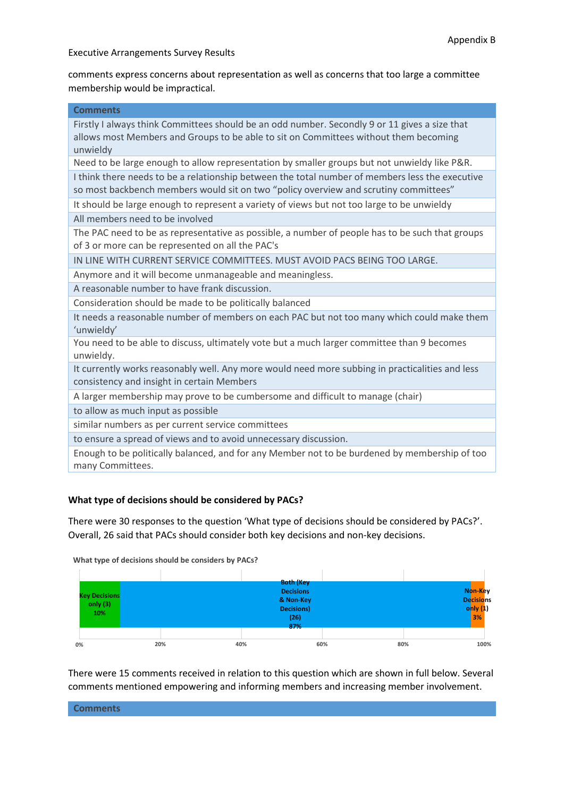comments express concerns about representation as well as concerns that too large a committee membership would be impractical.

|  |  | <b>Comments</b> |  |
|--|--|-----------------|--|
|  |  |                 |  |

Firstly I always think Committees should be an odd number. Secondly 9 or 11 gives a size that allows most Members and Groups to be able to sit on Committees without them becoming unwieldy

Need to be large enough to allow representation by smaller groups but not unwieldy like P&R.

I think there needs to be a relationship between the total number of members less the executive so most backbench members would sit on two "policy overview and scrutiny committees"

It should be large enough to represent a variety of views but not too large to be unwieldy

All members need to be involved

The PAC need to be as representative as possible, a number of people has to be such that groups of 3 or more can be represented on all the PAC's

IN LINE WITH CURRENT SERVICE COMMITTEES. MUST AVOID PACS BEING TOO LARGE.

Anymore and it will become unmanageable and meaningless.

A reasonable number to have frank discussion.

Consideration should be made to be politically balanced

It needs a reasonable number of members on each PAC but not too many which could make them 'unwieldy'

You need to be able to discuss, ultimately vote but a much larger committee than 9 becomes unwieldy.

It currently works reasonably well. Any more would need more subbing in practicalities and less consistency and insight in certain Members

A larger membership may prove to be cumbersome and difficult to manage (chair)

to allow as much input as possible

similar numbers as per current service committees

to ensure a spread of views and to avoid unnecessary discussion.

Enough to be politically balanced, and for any Member not to be burdened by membership of too many Committees.

### **What type of decisions should be considered by PACs?**

There were 30 responses to the question 'What type of decisions should be considered by PACs?'. Overall, 26 said that PACs should consider both key decisions and non-key decisions.



There were 15 comments received in relation to this question which are shown in full below. Several comments mentioned empowering and informing members and increasing member involvement.

| <b>Comments</b> |  |  |
|-----------------|--|--|
|                 |  |  |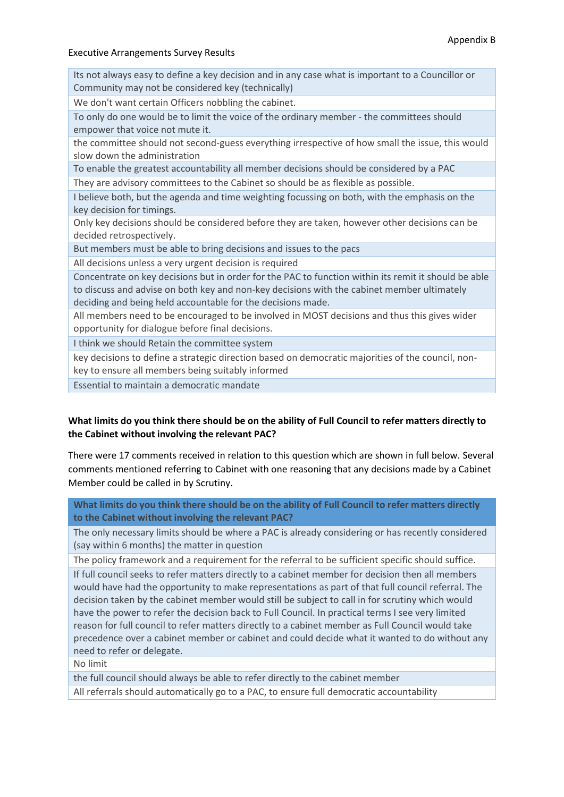Its not always easy to define a key decision and in any case what is important to a Councillor or Community may not be considered key (technically)

We don't want certain Officers nobbling the cabinet.

To only do one would be to limit the voice of the ordinary member - the committees should empower that voice not mute it.

the committee should not second-guess everything irrespective of how small the issue, this would slow down the administration

To enable the greatest accountability all member decisions should be considered by a PAC

They are advisory committees to the Cabinet so should be as flexible as possible.

I believe both, but the agenda and time weighting focussing on both, with the emphasis on the key decision for timings.

Only key decisions should be considered before they are taken, however other decisions can be decided retrospectively.

But members must be able to bring decisions and issues to the pacs

All decisions unless a very urgent decision is required

Concentrate on key decisions but in order for the PAC to function within its remit it should be able to discuss and advise on both key and non-key decisions with the cabinet member ultimately deciding and being held accountable for the decisions made.

All members need to be encouraged to be involved in MOST decisions and thus this gives wider opportunity for dialogue before final decisions.

I think we should Retain the committee system

key decisions to define a strategic direction based on democratic majorities of the council, nonkey to ensure all members being suitably informed

Essential to maintain a democratic mandate

# **What limits do you think there should be on the ability of Full Council to refer matters directly to the Cabinet without involving the relevant PAC?**

There were 17 comments received in relation to this question which are shown in full below. Several comments mentioned referring to Cabinet with one reasoning that any decisions made by a Cabinet Member could be called in by Scrutiny.

**What limits do you think there should be on the ability of Full Council to refer matters directly to the Cabinet without involving the relevant PAC?**

The only necessary limits should be where a PAC is already considering or has recently considered (say within 6 months) the matter in question

The policy framework and a requirement for the referral to be sufficient specific should suffice.

If full council seeks to refer matters directly to a cabinet member for decision then all members would have had the opportunity to make representations as part of that full council referral. The decision taken by the cabinet member would still be subject to call in for scrutiny which would have the power to refer the decision back to Full Council. In practical terms I see very limited reason for full council to refer matters directly to a cabinet member as Full Council would take precedence over a cabinet member or cabinet and could decide what it wanted to do without any need to refer or delegate.

No limit

the full council should always be able to refer directly to the cabinet member

All referrals should automatically go to a PAC, to ensure full democratic accountability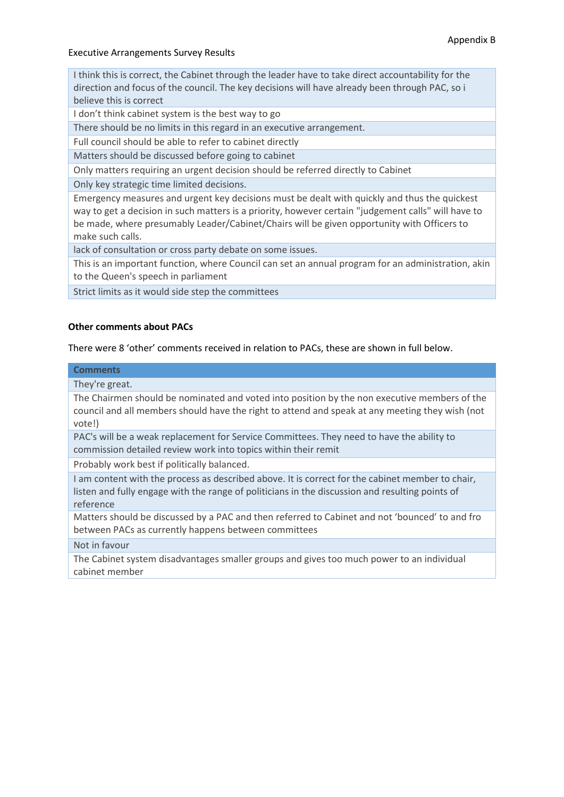I think this is correct, the Cabinet through the leader have to take direct accountability for the direction and focus of the council. The key decisions will have already been through PAC, so i believe this is correct

I don't think cabinet system is the best way to go

There should be no limits in this regard in an executive arrangement.

Full council should be able to refer to cabinet directly

Matters should be discussed before going to cabinet

Only matters requiring an urgent decision should be referred directly to Cabinet

Only key strategic time limited decisions.

Emergency measures and urgent key decisions must be dealt with quickly and thus the quickest way to get a decision in such matters is a priority, however certain "judgement calls" will have to be made, where presumably Leader/Cabinet/Chairs will be given opportunity with Officers to make such calls.

lack of consultation or cross party debate on some issues.

This is an important function, where Council can set an annual program for an administration, akin to the Queen's speech in parliament

Strict limits as it would side step the committees

### **Other comments about PACs**

There were 8 'other' comments received in relation to PACs, these are shown in full below.

### **Comments**

They're great.

The Chairmen should be nominated and voted into position by the non executive members of the council and all members should have the right to attend and speak at any meeting they wish (not vote!)

PAC's will be a weak replacement for Service Committees. They need to have the ability to commission detailed review work into topics within their remit

Probably work best if politically balanced.

I am content with the process as described above. It is correct for the cabinet member to chair, listen and fully engage with the range of politicians in the discussion and resulting points of reference

Matters should be discussed by a PAC and then referred to Cabinet and not 'bounced' to and fro between PACs as currently happens between committees

### Not in favour

The Cabinet system disadvantages smaller groups and gives too much power to an individual cabinet member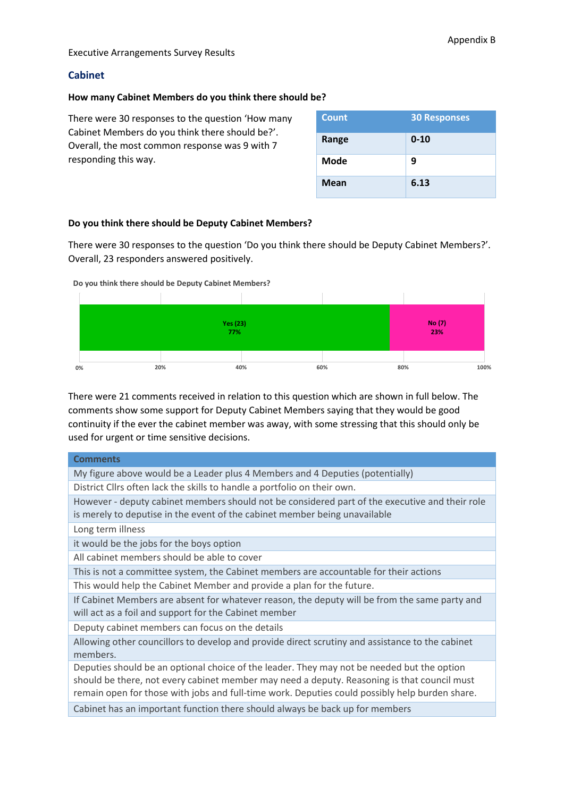### **Cabinet**

#### **How many Cabinet Members do you think there should be?**

There were 30 responses to the question 'How many Cabinet Members do you think there should be?'. Overall, the most common response was 9 with 7 responding this way.

| <b>Count</b> | <b>30 Responses</b> |
|--------------|---------------------|
| Range        | $0 - 10$            |
| Mode         | 9                   |
| <b>Mean</b>  | 6.13                |

### **Do you think there should be Deputy Cabinet Members?**

There were 30 responses to the question 'Do you think there should be Deputy Cabinet Members?'. Overall, 23 responders answered positively.





There were 21 comments received in relation to this question which are shown in full below. The comments show some support for Deputy Cabinet Members saying that they would be good continuity if the ever the cabinet member was away, with some stressing that this should only be used for urgent or time sensitive decisions.

| <b>Comments</b>                                                                                             |
|-------------------------------------------------------------------------------------------------------------|
| My figure above would be a Leader plus 4 Members and 4 Deputies (potentially)                               |
| District Cllrs often lack the skills to handle a portfolio on their own.                                    |
| However - deputy cabinet members should not be considered part of the executive and their role              |
| is merely to deputise in the event of the cabinet member being unavailable                                  |
| Long term illness                                                                                           |
| it would be the jobs for the boys option                                                                    |
| All cabinet members should be able to cover                                                                 |
| This is not a committee system, the Cabinet members are accountable for their actions                       |
| This would help the Cabinet Member and provide a plan for the future.                                       |
| If Cabinet Members are absent for whatever reason, the deputy will be from the same party and               |
| will act as a foil and support for the Cabinet member                                                       |
| Deputy cabinet members can focus on the details                                                             |
| Allowing other councillors to develop and provide direct scrutiny and assistance to the cabinet<br>members. |
| Deputies should be an optional choice of the leader. They may not be needed but the option                  |
| should be there, not every cabinet member may need a deputy. Reasoning is that council must                 |
| remain open for those with jobs and full-time work. Deputies could possibly help burden share.              |
| Cabinet has an important function there should always be back up for members                                |
|                                                                                                             |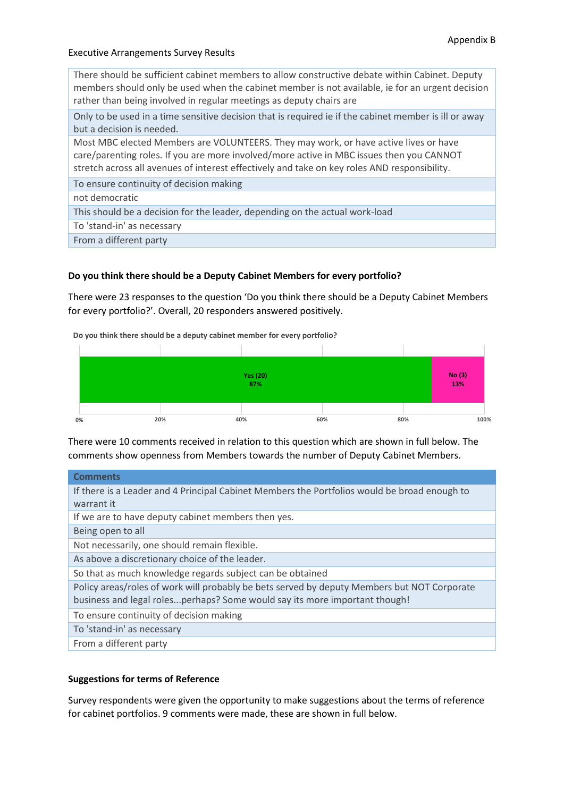There should be sufficient cabinet members to allow constructive debate within Cabinet. Deputy members should only be used when the cabinet member is not available, ie for an urgent decision rather than being involved in regular meetings as deputy chairs are

Only to be used in a time sensitive decision that is required ie if the cabinet member is ill or away but a decision is needed.

Most MBC elected Members are VOLUNTEERS. They may work, or have active lives or have care/parenting roles. If you are more involved/more active in MBC issues then you CANNOT stretch across all avenues of interest effectively and take on key roles AND responsibility.

To ensure continuity of decision making

not democratic

This should be a decision for the leader, depending on the actual work-load

To 'stand-in' as necessary

From a different party

### **Do you think there should be a Deputy Cabinet Members for every portfolio?**

There were 23 responses to the question 'Do you think there should be a Deputy Cabinet Members for every portfolio?'. Overall, 20 responders answered positively.

**Do you think there should be a deputy cabinet member for every portfolio?**



There were 10 comments received in relation to this question which are shown in full below. The comments show openness from Members towards the number of Deputy Cabinet Members.

| <b>Comments</b>                                                                              |
|----------------------------------------------------------------------------------------------|
| If there is a Leader and 4 Principal Cabinet Members the Portfolios would be broad enough to |
| warrant it                                                                                   |
| If we are to have deputy cabinet members then yes.                                           |
| Being open to all                                                                            |
| Not necessarily, one should remain flexible.                                                 |
| As above a discretionary choice of the leader.                                               |
| So that as much knowledge regards subject can be obtained                                    |
| Policy areas/roles of work will probably be bets served by deputy Members but NOT Corporate  |
| business and legal rolesperhaps? Some would say its more important though!                   |
| To ensure continuity of decision making                                                      |
| To 'stand-in' as necessary                                                                   |
| From a different party                                                                       |

### **Suggestions for terms of Reference**

Survey respondents were given the opportunity to make suggestions about the terms of reference for cabinet portfolios. 9 comments were made, these are shown in full below.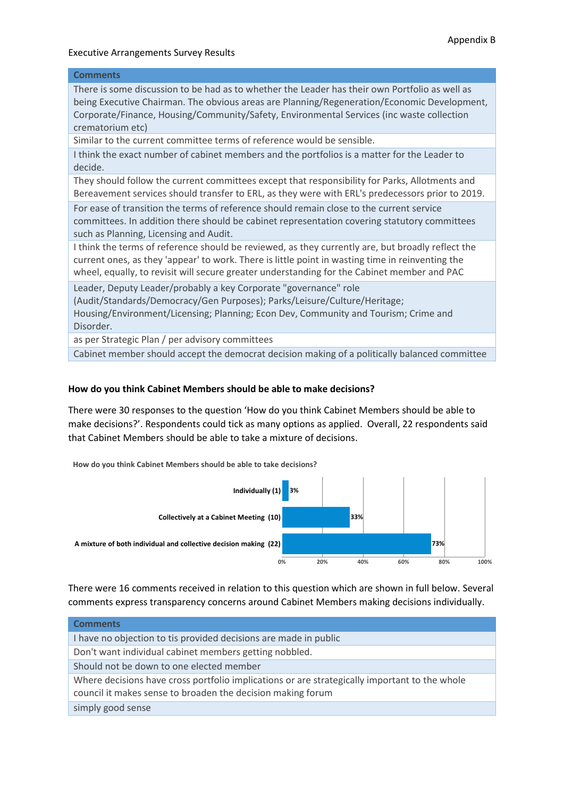# **Comments** There is some discussion to be had as to whether the Leader has their own Portfolio as well as being Executive Chairman. The obvious areas are Planning/Regeneration/Economic Development, Corporate/Finance, Housing/Community/Safety, Environmental Services (inc waste collection crematorium etc) Similar to the current committee terms of reference would be sensible. I think the exact number of cabinet members and the portfolios is a matter for the Leader to decide. They should follow the current committees except that responsibility for Parks, Allotments and Bereavement services should transfer to ERL, as they were with ERL's predecessors prior to 2019. For ease of transition the terms of reference should remain close to the current service committees. In addition there should be cabinet representation covering statutory committees such as Planning, Licensing and Audit. I think the terms of reference should be reviewed, as they currently are, but broadly reflect the current ones, as they 'appear' to work. There is little point in wasting time in reinventing the wheel, equally, to revisit will secure greater understanding for the Cabinet member and PAC Leader, Deputy Leader/probably a key Corporate "governance" role (Audit/Standards/Democracy/Gen Purposes); Parks/Leisure/Culture/Heritage; Housing/Environment/Licensing; Planning; Econ Dev, Community and Tourism; Crime and Disorder. as per Strategic Plan / per advisory committees

Cabinet member should accept the democrat decision making of a politically balanced committee

### **How do you think Cabinet Members should be able to make decisions?**

There were 30 responses to the question 'How do you think Cabinet Members should be able to make decisions?'. Respondents could tick as many options as applied. Overall, 22 respondents said that Cabinet Members should be able to take a mixture of decisions.

**How do you think Cabinet Members should be able to take decisions?**



There were 16 comments received in relation to this question which are shown in full below. Several comments express transparency concerns around Cabinet Members making decisions individually.

| <b>Comments</b>                                                                                                                                              |
|--------------------------------------------------------------------------------------------------------------------------------------------------------------|
| I have no objection to tis provided decisions are made in public                                                                                             |
| Don't want individual cabinet members getting nobbled.                                                                                                       |
| Should not be down to one elected member                                                                                                                     |
| Where decisions have cross portfolio implications or are strategically important to the whole<br>council it makes sense to broaden the decision making forum |
| simply good sense                                                                                                                                            |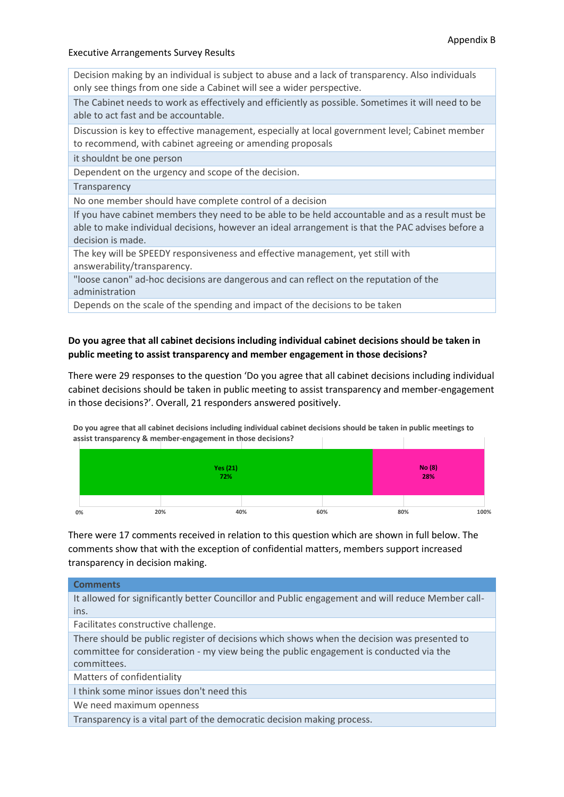Decision making by an individual is subject to abuse and a lack of transparency. Also individuals only see things from one side a Cabinet will see a wider perspective.

The Cabinet needs to work as effectively and efficiently as possible. Sometimes it will need to be able to act fast and be accountable.

Discussion is key to effective management, especially at local government level; Cabinet member to recommend, with cabinet agreeing or amending proposals

it shouldnt be one person

Dependent on the urgency and scope of the decision.

#### **Transparency**

No one member should have complete control of a decision

If you have cabinet members they need to be able to be held accountable and as a result must be able to make individual decisions, however an ideal arrangement is that the PAC advises before a decision is made.

The key will be SPEEDY responsiveness and effective management, yet still with answerability/transparency.

"loose canon" ad-hoc decisions are dangerous and can reflect on the reputation of the administration

Depends on the scale of the spending and impact of the decisions to be taken

### **Do you agree that all cabinet decisions including individual cabinet decisions should be taken in public meeting to assist transparency and member engagement in those decisions?**

There were 29 responses to the question 'Do you agree that all cabinet decisions including individual cabinet decisions should be taken in public meeting to assist transparency and member-engagement in those decisions?'. Overall, 21 responders answered positively.

**Do you agree that all cabinet decisions including individual cabinet decisions should be taken in public meetings to assist transparency & member-engagement in those decisions?**

|    |     | Yes (21)<br>72% |     |     | No (8)<br>28% |      |
|----|-----|-----------------|-----|-----|---------------|------|
|    |     |                 |     |     |               |      |
| 0% | 20% | 40%             | 60% | 80% |               | 100% |

There were 17 comments received in relation to this question which are shown in full below. The comments show that with the exception of confidential matters, members support increased transparency in decision making.

# **Comments** It allowed for significantly better Councillor and Public engagement and will reduce Member callins. Facilitates constructive challenge. There should be public register of decisions which shows when the decision was presented to committee for consideration - my view being the public engagement is conducted via the committees. Matters of confidentiality I think some minor issues don't need this

We need maximum openness

Transparency is a vital part of the democratic decision making process.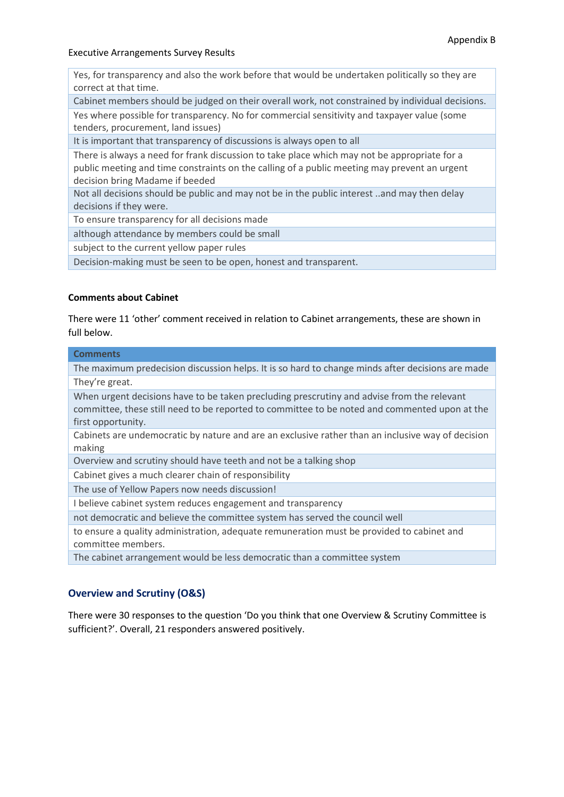Yes, for transparency and also the work before that would be undertaken politically so they are correct at that time.

Cabinet members should be judged on their overall work, not constrained by individual decisions.

Yes where possible for transparency. No for commercial sensitivity and taxpayer value (some tenders, procurement, land issues)

It is important that transparency of discussions is always open to all

There is always a need for frank discussion to take place which may not be appropriate for a public meeting and time constraints on the calling of a public meeting may prevent an urgent decision bring Madame if beeded

Not all decisions should be public and may not be in the public interest ..and may then delay decisions if they were.

To ensure transparency for all decisions made

although attendance by members could be small

subject to the current yellow paper rules

Decision-making must be seen to be open, honest and transparent.

### **Comments about Cabinet**

There were 11 'other' comment received in relation to Cabinet arrangements, these are shown in full below.

| <b>Comments</b>                                                                                                                                                                                                   |
|-------------------------------------------------------------------------------------------------------------------------------------------------------------------------------------------------------------------|
| The maximum predecision discussion helps. It is so hard to change minds after decisions are made                                                                                                                  |
| They're great.                                                                                                                                                                                                    |
| When urgent decisions have to be taken precluding prescrutiny and advise from the relevant<br>committee, these still need to be reported to committee to be noted and commented upon at the<br>first opportunity. |
| Cabinets are undemocratic by nature and are an exclusive rather than an inclusive way of decision<br>making                                                                                                       |
| Overview and scrutiny should have teeth and not be a talking shop                                                                                                                                                 |
| Cabinet gives a much clearer chain of responsibility                                                                                                                                                              |
| The use of Yellow Papers now needs discussion!                                                                                                                                                                    |
| I believe cabinet system reduces engagement and transparency                                                                                                                                                      |
| not democratic and believe the committee system has served the council well                                                                                                                                       |
| to ensure a quality administration, adequate remuneration must be provided to cabinet and<br>committee members.                                                                                                   |
| The cabinet arrangement would be less democratic than a committee system                                                                                                                                          |
|                                                                                                                                                                                                                   |

### **Overview and Scrutiny (O&S)**

There were 30 responses to the question 'Do you think that one Overview & Scrutiny Committee is sufficient?'. Overall, 21 responders answered positively.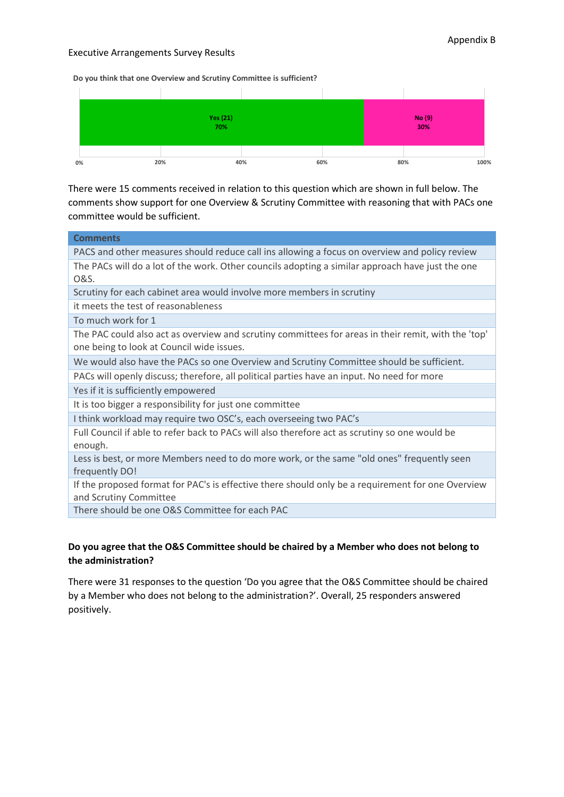**Do you think that one Overview and Scrutiny Committee is sufficient?**



There were 15 comments received in relation to this question which are shown in full below. The comments show support for one Overview & Scrutiny Committee with reasoning that with PACs one committee would be sufficient.

| <b>Comments</b>                                                                                                                                  |
|--------------------------------------------------------------------------------------------------------------------------------------------------|
| PACS and other measures should reduce call ins allowing a focus on overview and policy review                                                    |
| The PACs will do a lot of the work. Other councils adopting a similar approach have just the one<br>O&S.                                         |
| Scrutiny for each cabinet area would involve more members in scrutiny                                                                            |
| it meets the test of reasonableness                                                                                                              |
| To much work for 1                                                                                                                               |
| The PAC could also act as overview and scrutiny committees for areas in their remit, with the 'top'<br>one being to look at Council wide issues. |
| We would also have the PACs so one Overview and Scrutiny Committee should be sufficient.                                                         |
| PACs will openly discuss; therefore, all political parties have an input. No need for more                                                       |
| Yes if it is sufficiently empowered                                                                                                              |
| It is too bigger a responsibility for just one committee                                                                                         |
| I think workload may require two OSC's, each overseeing two PAC's                                                                                |
| Full Council if able to refer back to PACs will also therefore act as scrutiny so one would be<br>enough.                                        |
| Less is best, or more Members need to do more work, or the same "old ones" frequently seen<br>frequently DO!                                     |
| If the proposed format for PAC's is effective there should only be a requirement for one Overview<br>and Scrutiny Committee                      |
| There should be and $\Omega$ <sup>c</sup> Cammittee for each $\Omega$ <sup>c</sup>                                                               |

There should be one O&S Committee for each PAC

### **Do you agree that the O&S Committee should be chaired by a Member who does not belong to the administration?**

There were 31 responses to the question 'Do you agree that the O&S Committee should be chaired by a Member who does not belong to the administration?'. Overall, 25 responders answered positively.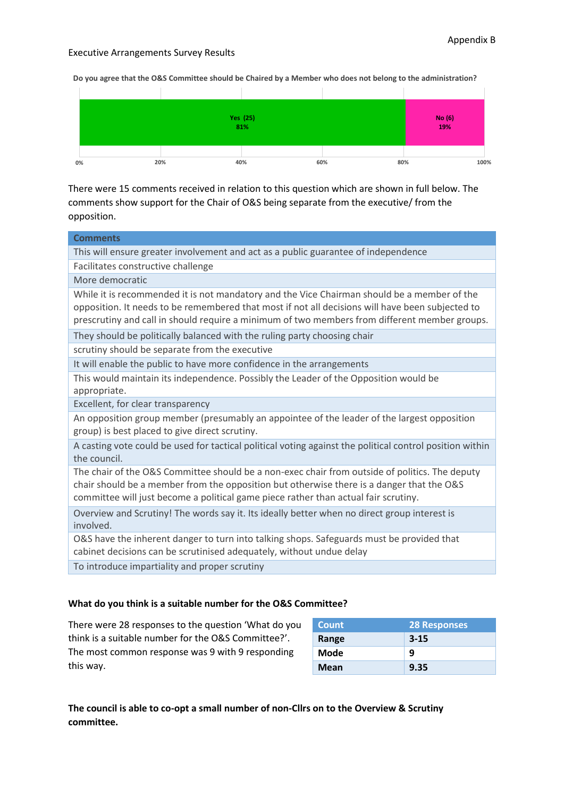**Do you agree that the O&S Committee should be Chaired by a Member who does not belong to the administration?**



There were 15 comments received in relation to this question which are shown in full below. The comments show support for the Chair of O&S being separate from the executive/ from the opposition.

| <b>Comments</b>                                                                                                                                                                                                                                                                                  |
|--------------------------------------------------------------------------------------------------------------------------------------------------------------------------------------------------------------------------------------------------------------------------------------------------|
| This will ensure greater involvement and act as a public guarantee of independence                                                                                                                                                                                                               |
| Facilitates constructive challenge                                                                                                                                                                                                                                                               |
| More democratic                                                                                                                                                                                                                                                                                  |
| While it is recommended it is not mandatory and the Vice Chairman should be a member of the<br>opposition. It needs to be remembered that most if not all decisions will have been subjected to<br>prescrutiny and call in should require a minimum of two members from different member groups. |
| They should be politically balanced with the ruling party choosing chair                                                                                                                                                                                                                         |
| scrutiny should be separate from the executive                                                                                                                                                                                                                                                   |
| It will enable the public to have more confidence in the arrangements                                                                                                                                                                                                                            |
| This would maintain its independence. Possibly the Leader of the Opposition would be<br>appropriate.                                                                                                                                                                                             |
| Excellent, for clear transparency                                                                                                                                                                                                                                                                |
| An opposition group member (presumably an appointee of the leader of the largest opposition<br>group) is best placed to give direct scrutiny.                                                                                                                                                    |
| A casting vote could be used for tactical political voting against the political control position within<br>the council.                                                                                                                                                                         |
| The chair of the O&S Committee should be a non-exec chair from outside of politics. The deputy<br>chair should be a member from the opposition but otherwise there is a danger that the O&S<br>committee will just become a political game piece rather than actual fair scrutiny.               |
| Overview and Scrutiny! The words say it. Its ideally better when no direct group interest is<br>involved.                                                                                                                                                                                        |
| O&S have the inherent danger to turn into talking shops. Safeguards must be provided that<br>cabinet decisions can be scrutinised adequately, without undue delay                                                                                                                                |
| To introduce impartiality and proper scrutiny                                                                                                                                                                                                                                                    |
|                                                                                                                                                                                                                                                                                                  |

### **What do you think is a suitable number for the O&S Committee?**

There were 28 responses to the question 'What do you think is a suitable number for the O&S Committee?'. The most common response was 9 with 9 responding this way.

| <b>Count</b> | <b>28 Responses</b> |
|--------------|---------------------|
| Range        | $3 - 15$            |
| Mode         | 9                   |
| Mean         | 9.35                |

**The council is able to co-opt a small number of non-Cllrs on to the Overview & Scrutiny committee.**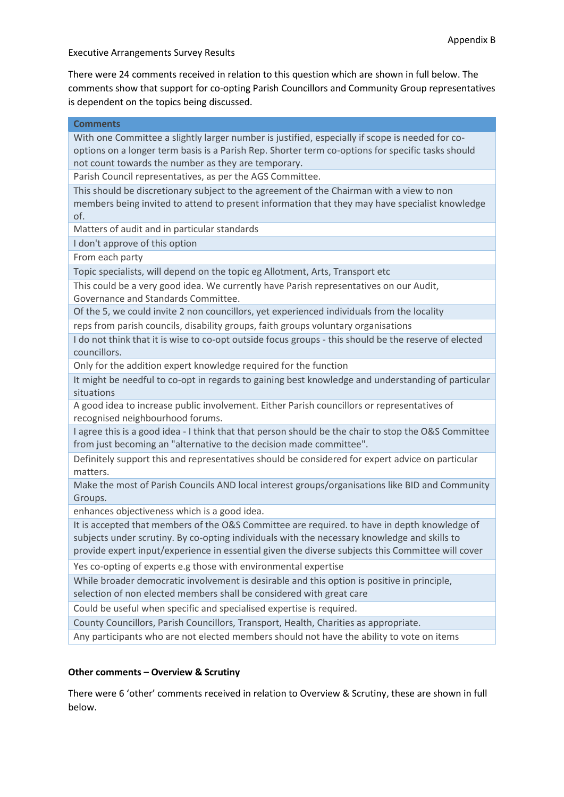There were 24 comments received in relation to this question which are shown in full below. The comments show that support for co-opting Parish Councillors and Community Group representatives is dependent on the topics being discussed.

| <b>Comments</b>                                                                                                                                                                                                                                                                                   |
|---------------------------------------------------------------------------------------------------------------------------------------------------------------------------------------------------------------------------------------------------------------------------------------------------|
| With one Committee a slightly larger number is justified, especially if scope is needed for co-<br>options on a longer term basis is a Parish Rep. Shorter term co-options for specific tasks should<br>not count towards the number as they are temporary.                                       |
| Parish Council representatives, as per the AGS Committee.                                                                                                                                                                                                                                         |
| This should be discretionary subject to the agreement of the Chairman with a view to non<br>members being invited to attend to present information that they may have specialist knowledge<br>of.                                                                                                 |
| Matters of audit and in particular standards                                                                                                                                                                                                                                                      |
| I don't approve of this option                                                                                                                                                                                                                                                                    |
| From each party                                                                                                                                                                                                                                                                                   |
| Topic specialists, will depend on the topic eg Allotment, Arts, Transport etc                                                                                                                                                                                                                     |
| This could be a very good idea. We currently have Parish representatives on our Audit,<br>Governance and Standards Committee.                                                                                                                                                                     |
| Of the 5, we could invite 2 non councillors, yet experienced individuals from the locality                                                                                                                                                                                                        |
| reps from parish councils, disability groups, faith groups voluntary organisations                                                                                                                                                                                                                |
| I do not think that it is wise to co-opt outside focus groups - this should be the reserve of elected<br>councillors.                                                                                                                                                                             |
| Only for the addition expert knowledge required for the function                                                                                                                                                                                                                                  |
| It might be needful to co-opt in regards to gaining best knowledge and understanding of particular<br>situations                                                                                                                                                                                  |
| A good idea to increase public involvement. Either Parish councillors or representatives of<br>recognised neighbourhood forums.                                                                                                                                                                   |
| I agree this is a good idea - I think that that person should be the chair to stop the O&S Committee<br>from just becoming an "alternative to the decision made committee".                                                                                                                       |
| Definitely support this and representatives should be considered for expert advice on particular<br>matters.                                                                                                                                                                                      |
| Make the most of Parish Councils AND local interest groups/organisations like BID and Community<br>Groups.                                                                                                                                                                                        |
| enhances objectiveness which is a good idea.                                                                                                                                                                                                                                                      |
| It is accepted that members of the O&S Committee are required. to have in depth knowledge of<br>subjects under scrutiny. By co-opting individuals with the necessary knowledge and skills to<br>provide expert input/experience in essential given the diverse subjects this Committee will cover |
| Yes co-opting of experts e.g those with environmental expertise                                                                                                                                                                                                                                   |
| While broader democratic involvement is desirable and this option is positive in principle,<br>selection of non elected members shall be considered with great care                                                                                                                               |
| Could be useful when specific and specialised expertise is required.                                                                                                                                                                                                                              |
| County Councillors, Parish Councillors, Transport, Health, Charities as appropriate.                                                                                                                                                                                                              |
| Any participants who are not elected members should not have the ability to vote on items                                                                                                                                                                                                         |
|                                                                                                                                                                                                                                                                                                   |

### **Other comments – Overview & Scrutiny**

There were 6 'other' comments received in relation to Overview & Scrutiny, these are shown in full below.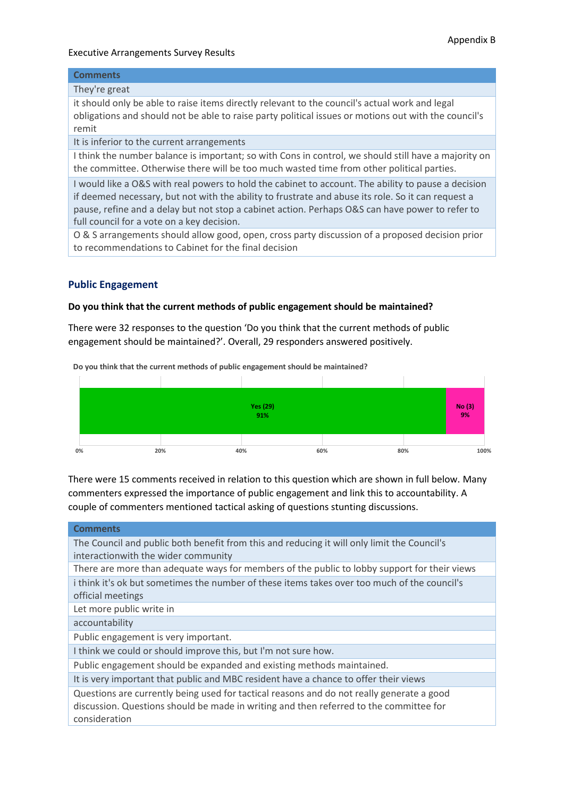### **Comments**

### They're great

it should only be able to raise items directly relevant to the council's actual work and legal obligations and should not be able to raise party political issues or motions out with the council's remit

It is inferior to the current arrangements

I think the number balance is important; so with Cons in control, we should still have a majority on the committee. Otherwise there will be too much wasted time from other political parties.

I would like a O&S with real powers to hold the cabinet to account. The ability to pause a decision if deemed necessary, but not with the ability to frustrate and abuse its role. So it can request a pause, refine and a delay but not stop a cabinet action. Perhaps O&S can have power to refer to full council for a vote on a key decision.

O & S arrangements should allow good, open, cross party discussion of a proposed decision prior to recommendations to Cabinet for the final decision

### **Public Engagement**

### **Do you think that the current methods of public engagement should be maintained?**

There were 32 responses to the question 'Do you think that the current methods of public engagement should be maintained?'. Overall, 29 responders answered positively.



**Do you think that the current methods of public engagement should be maintained?**

There were 15 comments received in relation to this question which are shown in full below. Many commenters expressed the importance of public engagement and link this to accountability. A couple of commenters mentioned tactical asking of questions stunting discussions.

| <b>Comments</b>                                                                                                                                                                                      |
|------------------------------------------------------------------------------------------------------------------------------------------------------------------------------------------------------|
| The Council and public both benefit from this and reducing it will only limit the Council's                                                                                                          |
| interactionwith the wider community                                                                                                                                                                  |
| There are more than adequate ways for members of the public to lobby support for their views                                                                                                         |
| i think it's ok but sometimes the number of these items takes over too much of the council's                                                                                                         |
| official meetings                                                                                                                                                                                    |
| Let more public write in                                                                                                                                                                             |
| accountability                                                                                                                                                                                       |
| Public engagement is very important.                                                                                                                                                                 |
| I think we could or should improve this, but I'm not sure how.                                                                                                                                       |
| Public engagement should be expanded and existing methods maintained.                                                                                                                                |
| It is very important that public and MBC resident have a chance to offer their views                                                                                                                 |
| Questions are currently being used for tactical reasons and do not really generate a good<br>discussion. Questions should be made in writing and then referred to the committee for<br>consideration |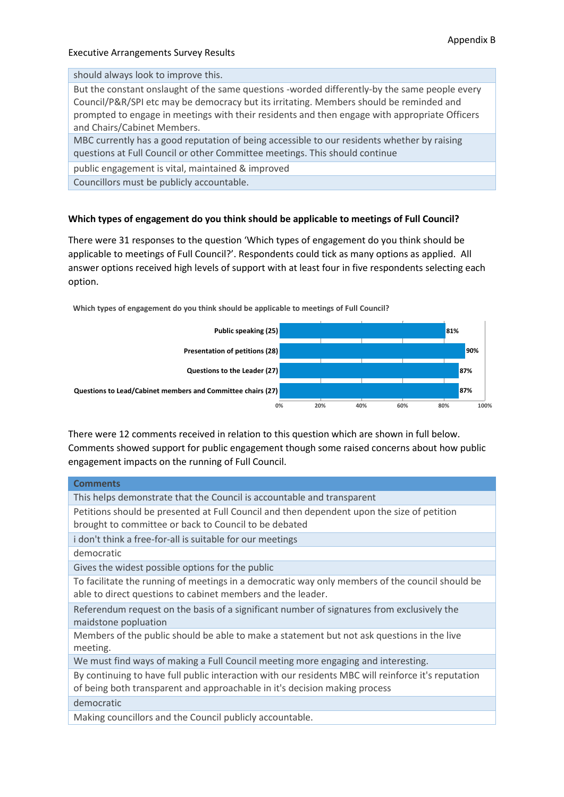should always look to improve this.

But the constant onslaught of the same questions -worded differently-by the same people every Council/P&R/SPI etc may be democracy but its irritating. Members should be reminded and prompted to engage in meetings with their residents and then engage with appropriate Officers and Chairs/Cabinet Members.

MBC currently has a good reputation of being accessible to our residents whether by raising questions at Full Council or other Committee meetings. This should continue

public engagement is vital, maintained & improved

Councillors must be publicly accountable.

### **Which types of engagement do you think should be applicable to meetings of Full Council?**

**Which types of engagement do you think should be applicable to meetings of Full Council?**

There were 31 responses to the question 'Which types of engagement do you think should be applicable to meetings of Full Council?'. Respondents could tick as many options as applied. All answer options received high levels of support with at least four in five respondents selecting each option.



There were 12 comments received in relation to this question which are shown in full below. Comments showed support for public engagement though some raised concerns about how public engagement impacts on the running of Full Council.

| <b>Comments</b>                                                                                                                                                                   |
|-----------------------------------------------------------------------------------------------------------------------------------------------------------------------------------|
| This helps demonstrate that the Council is accountable and transparent                                                                                                            |
| Petitions should be presented at Full Council and then dependent upon the size of petition<br>brought to committee or back to Council to be debated                               |
| i don't think a free-for-all is suitable for our meetings                                                                                                                         |
| democratic                                                                                                                                                                        |
| Gives the widest possible options for the public                                                                                                                                  |
| To facilitate the running of meetings in a democratic way only members of the council should be<br>able to direct questions to cabinet members and the leader.                    |
| Referendum request on the basis of a significant number of signatures from exclusively the<br>maidstone popluation                                                                |
| Members of the public should be able to make a statement but not ask questions in the live<br>meeting.                                                                            |
| We must find ways of making a Full Council meeting more engaging and interesting.                                                                                                 |
| By continuing to have full public interaction with our residents MBC will reinforce it's reputation<br>of being both transparent and approachable in it's decision making process |
| democratic                                                                                                                                                                        |
| Making councillors and the Council publicly accountable.                                                                                                                          |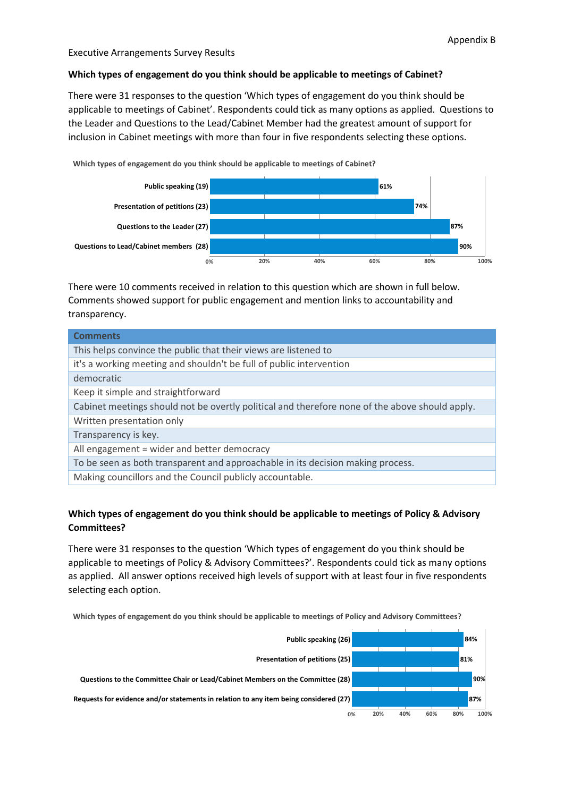### **Which types of engagement do you think should be applicable to meetings of Cabinet?**

There were 31 responses to the question 'Which types of engagement do you think should be applicable to meetings of Cabinet'. Respondents could tick as many options as applied. Questions to the Leader and Questions to the Lead/Cabinet Member had the greatest amount of support for inclusion in Cabinet meetings with more than four in five respondents selecting these options.

**Which types of engagement do you think should be applicable to meetings of Cabinet?**



There were 10 comments received in relation to this question which are shown in full below. Comments showed support for public engagement and mention links to accountability and transparency.

| <b>Comments</b>                                                                                |
|------------------------------------------------------------------------------------------------|
| This helps convince the public that their views are listened to                                |
| it's a working meeting and shouldn't be full of public intervention                            |
| democratic                                                                                     |
| Keep it simple and straightforward                                                             |
| Cabinet meetings should not be overtly political and therefore none of the above should apply. |
| Written presentation only                                                                      |
| Transparency is key.                                                                           |
| All engagement = wider and better democracy                                                    |
| To be seen as both transparent and approachable in its decision making process.                |
| Making councillors and the Council publicly accountable.                                       |

### **Which types of engagement do you think should be applicable to meetings of Policy & Advisory Committees?**

There were 31 responses to the question 'Which types of engagement do you think should be applicable to meetings of Policy & Advisory Committees?'. Respondents could tick as many options as applied. All answer options received high levels of support with at least four in five respondents selecting each option.

**Which types of engagement do you think should be applicable to meetings of Policy and Advisory Committees?**

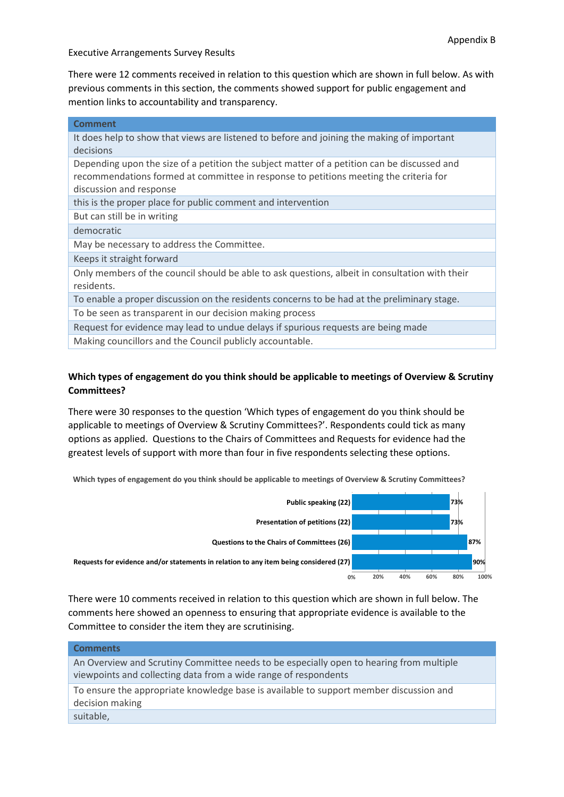There were 12 comments received in relation to this question which are shown in full below. As with previous comments in this section, the comments showed support for public engagement and mention links to accountability and transparency.

| <b>Comment</b>                                                                                 |
|------------------------------------------------------------------------------------------------|
| It does help to show that views are listened to before and joining the making of important     |
| decisions                                                                                      |
| Depending upon the size of a petition the subject matter of a petition can be discussed and    |
| recommendations formed at committee in response to petitions meeting the criteria for          |
| discussion and response                                                                        |
| this is the proper place for public comment and intervention                                   |
| But can still be in writing                                                                    |
| democratic                                                                                     |
| May be necessary to address the Committee.                                                     |
| Keeps it straight forward                                                                      |
| Only members of the council should be able to ask questions, albeit in consultation with their |
| residents.                                                                                     |
| To enable a proper discussion on the residents concerns to be had at the preliminary stage.    |
| To be seen as transparent in our decision making process                                       |
| Request for evidence may lead to undue delays if spurious requests are being made              |
| Making councillors and the Council publicly accountable.                                       |

# **Which types of engagement do you think should be applicable to meetings of Overview & Scrutiny Committees?**

There were 30 responses to the question 'Which types of engagement do you think should be applicable to meetings of Overview & Scrutiny Committees?'. Respondents could tick as many options as applied. Questions to the Chairs of Committees and Requests for evidence had the greatest levels of support with more than four in five respondents selecting these options.

**Which types of engagement do you think should be applicable to meetings of Overview & Scrutiny Committees?**



There were 10 comments received in relation to this question which are shown in full below. The comments here showed an openness to ensuring that appropriate evidence is available to the Committee to consider the item they are scrutinising.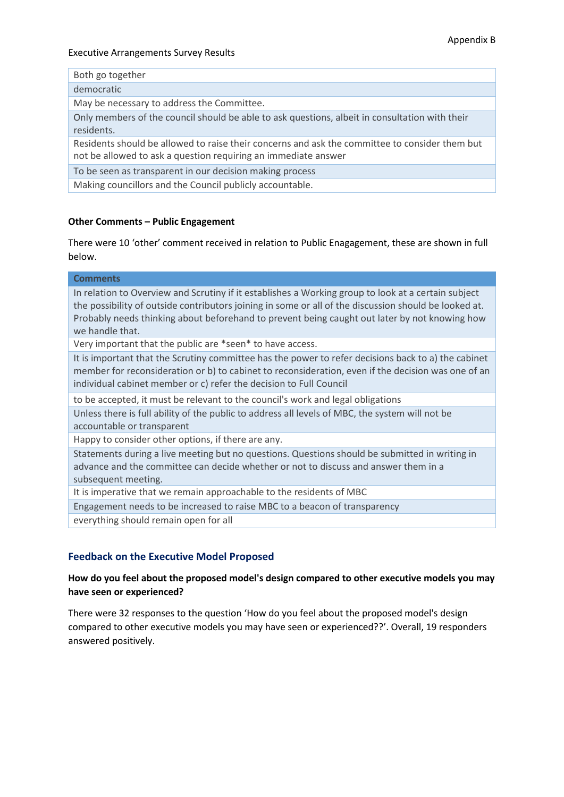|  |  | Both go together |
|--|--|------------------|
|--|--|------------------|

democratic

May be necessary to address the Committee.

Only members of the council should be able to ask questions, albeit in consultation with their residents.

Residents should be allowed to raise their concerns and ask the committee to consider them but not be allowed to ask a question requiring an immediate answer

To be seen as transparent in our decision making process

Making councillors and the Council publicly accountable.

### **Other Comments – Public Engagement**

There were 10 'other' comment received in relation to Public Enagagement, these are shown in full below.

| <b>Comments</b>                                                                                                                                                                                                                                                                                                                  |
|----------------------------------------------------------------------------------------------------------------------------------------------------------------------------------------------------------------------------------------------------------------------------------------------------------------------------------|
| In relation to Overview and Scrutiny if it establishes a Working group to look at a certain subject<br>the possibility of outside contributors joining in some or all of the discussion should be looked at.<br>Probably needs thinking about beforehand to prevent being caught out later by not knowing how<br>we handle that. |
| Very important that the public are *seen* to have access.                                                                                                                                                                                                                                                                        |
| It is important that the Scrutiny committee has the power to refer decisions back to a) the cabinet<br>member for reconsideration or b) to cabinet to reconsideration, even if the decision was one of an<br>individual cabinet member or c) refer the decision to Full Council                                                  |
| to be accepted, it must be relevant to the council's work and legal obligations                                                                                                                                                                                                                                                  |
| Unless there is full ability of the public to address all levels of MBC, the system will not be<br>accountable or transparent                                                                                                                                                                                                    |
| Happy to consider other options, if there are any.                                                                                                                                                                                                                                                                               |
| Statements during a live meeting but no questions. Questions should be submitted in writing in<br>advance and the committee can decide whether or not to discuss and answer them in a<br>subsequent meeting.                                                                                                                     |
| It is imperative that we remain approachable to the residents of MBC                                                                                                                                                                                                                                                             |
| Engagement needs to be increased to raise MBC to a beacon of transparency                                                                                                                                                                                                                                                        |
| everything should remain open for all                                                                                                                                                                                                                                                                                            |
| <b>Feedback on the Executive Model Proposed</b>                                                                                                                                                                                                                                                                                  |

### **How do you feel about the proposed model's design compared to other executive models you may have seen or experienced?**

There were 32 responses to the question 'How do you feel about the proposed model's design compared to other executive models you may have seen or experienced??'. Overall, 19 responders answered positively.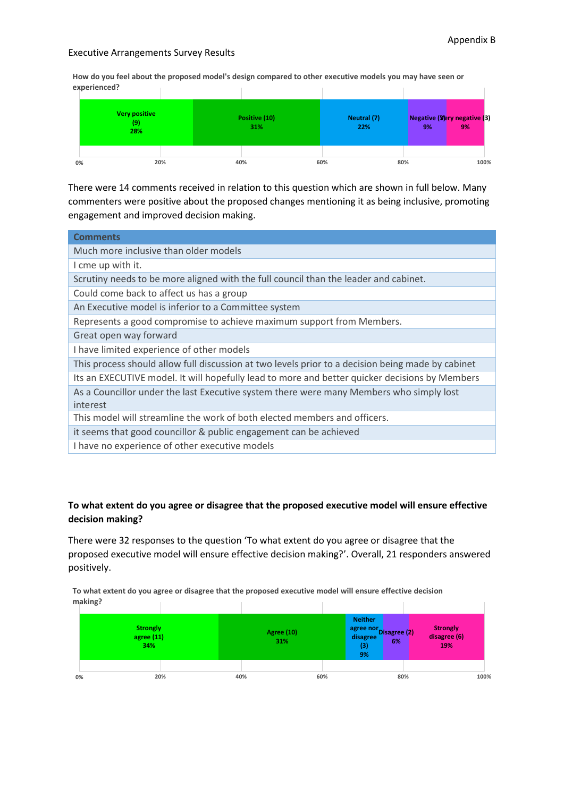**How do you feel about the proposed model's design compared to other executive models you may have seen or experienced?**



There were 14 comments received in relation to this question which are shown in full below. Many commenters were positive about the proposed changes mentioning it as being inclusive, promoting engagement and improved decision making.

| <b>Comments</b>                                                                                   |
|---------------------------------------------------------------------------------------------------|
| Much more inclusive than older models                                                             |
| I cme up with it.                                                                                 |
| Scrutiny needs to be more aligned with the full council than the leader and cabinet.              |
| Could come back to affect us has a group                                                          |
| An Executive model is inferior to a Committee system                                              |
| Represents a good compromise to achieve maximum support from Members.                             |
| Great open way forward                                                                            |
| I have limited experience of other models                                                         |
| This process should allow full discussion at two levels prior to a decision being made by cabinet |
| Its an EXECUTIVE model. It will hopefully lead to more and better quicker decisions by Members    |
| As a Councillor under the last Executive system there were many Members who simply lost           |
| interest                                                                                          |
| This model will streamline the work of both elected members and officers.                         |
| it seems that good councillor & public engagement can be achieved                                 |
| I have no experience of other executive models                                                    |

### **To what extent do you agree or disagree that the proposed executive model will ensure effective decision making?**

There were 32 responses to the question 'To what extent do you agree or disagree that the proposed executive model will ensure effective decision making?'. Overall, 21 responders answered positively.

**To what extent do you agree or disagree that the proposed executive model will ensure effective decision making?**

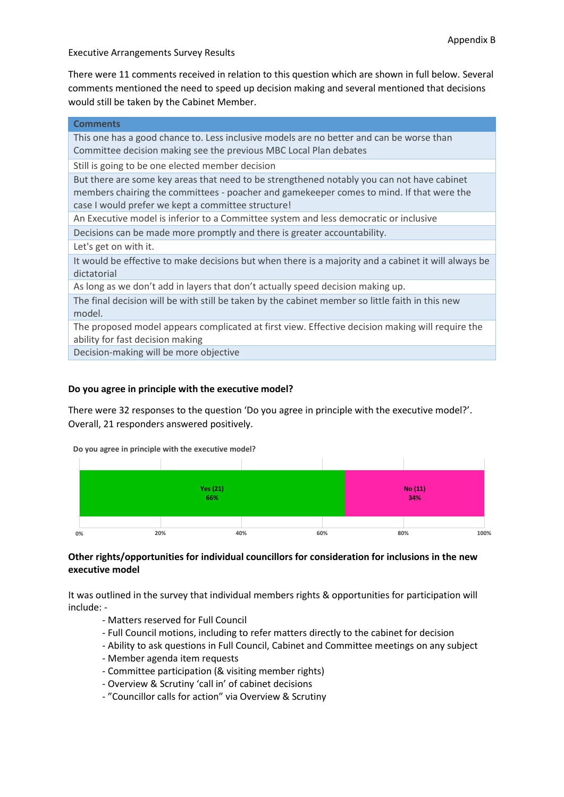There were 11 comments received in relation to this question which are shown in full below. Several comments mentioned the need to speed up decision making and several mentioned that decisions would still be taken by the Cabinet Member.

| <b>Comments</b>                                                                                      |
|------------------------------------------------------------------------------------------------------|
| This one has a good chance to. Less inclusive models are no better and can be worse than             |
| Committee decision making see the previous MBC Local Plan debates                                    |
| Still is going to be one elected member decision                                                     |
| But there are some key areas that need to be strengthened notably you can not have cabinet           |
| members chairing the committees - poacher and gamekeeper comes to mind. If that were the             |
| case I would prefer we kept a committee structure!                                                   |
| An Executive model is inferior to a Committee system and less democratic or inclusive                |
| Decisions can be made more promptly and there is greater accountability.                             |
| Let's get on with it.                                                                                |
| It would be effective to make decisions but when there is a majority and a cabinet it will always be |
| dictatorial                                                                                          |
| As long as we don't add in layers that don't actually speed decision making up.                      |
| The final decision will be with still be taken by the cabinet member so little faith in this new     |
| model.                                                                                               |
| The proposed model appears complicated at first view. Effective decision making will require the     |
| ability for fast decision making                                                                     |
| Decision-making will be more objective                                                               |

### **Do you agree in principle with the executive model?**

There were 32 responses to the question 'Do you agree in principle with the executive model?'. Overall, 21 responders answered positively.

**Do you agree in principle with the executive model?**



### **Other rights/opportunities for individual councillors for consideration for inclusions in the new executive model**

It was outlined in the survey that individual members rights & opportunities for participation will include: -

- Matters reserved for Full Council
- Full Council motions, including to refer matters directly to the cabinet for decision
- Ability to ask questions in Full Council, Cabinet and Committee meetings on any subject
- Member agenda item requests
- Committee participation (& visiting member rights)
- Overview & Scrutiny 'call in' of cabinet decisions
- "Councillor calls for action" via Overview & Scrutiny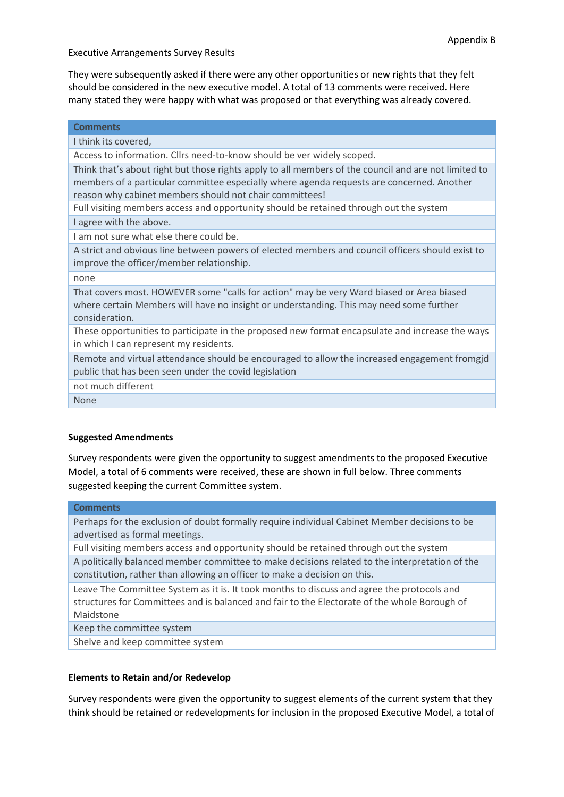They were subsequently asked if there were any other opportunities or new rights that they felt should be considered in the new executive model. A total of 13 comments were received. Here many stated they were happy with what was proposed or that everything was already covered.

| <b>Comments</b>                                                                                                                                                                                                                                              |
|--------------------------------------------------------------------------------------------------------------------------------------------------------------------------------------------------------------------------------------------------------------|
| I think its covered,                                                                                                                                                                                                                                         |
| Access to information. Cllrs need-to-know should be ver widely scoped.                                                                                                                                                                                       |
| Think that's about right but those rights apply to all members of the council and are not limited to<br>members of a particular committee especially where agenda requests are concerned. Another<br>reason why cabinet members should not chair committees! |
| Full visiting members access and opportunity should be retained through out the system                                                                                                                                                                       |
| I agree with the above.                                                                                                                                                                                                                                      |
| Lam not sure what else there could be.                                                                                                                                                                                                                       |
| A strict and obvious line between powers of elected members and council officers should exist to<br>improve the officer/member relationship.                                                                                                                 |
| none                                                                                                                                                                                                                                                         |
| That covers most. HOWEVER some "calls for action" may be very Ward biased or Area biased<br>where certain Members will have no insight or understanding. This may need some further<br>consideration.                                                        |
| These opportunities to participate in the proposed new format encapsulate and increase the ways<br>in which I can represent my residents.                                                                                                                    |
| Remote and virtual attendance should be encouraged to allow the increased engagement fromgjd<br>public that has been seen under the covid legislation                                                                                                        |
| not much different                                                                                                                                                                                                                                           |
| <b>None</b>                                                                                                                                                                                                                                                  |
|                                                                                                                                                                                                                                                              |

### **Suggested Amendments**

Survey respondents were given the opportunity to suggest amendments to the proposed Executive Model, a total of 6 comments were received, these are shown in full below. Three comments suggested keeping the current Committee system.

### **Comments**

Perhaps for the exclusion of doubt formally require individual Cabinet Member decisions to be advertised as formal meetings.

Full visiting members access and opportunity should be retained through out the system

A politically balanced member committee to make decisions related to the interpretation of the constitution, rather than allowing an officer to make a decision on this.

Leave The Committee System as it is. It took months to discuss and agree the protocols and structures for Committees and is balanced and fair to the Electorate of the whole Borough of Maidstone

Keep the committee system

Shelve and keep committee system

### **Elements to Retain and/or Redevelop**

Survey respondents were given the opportunity to suggest elements of the current system that they think should be retained or redevelopments for inclusion in the proposed Executive Model, a total of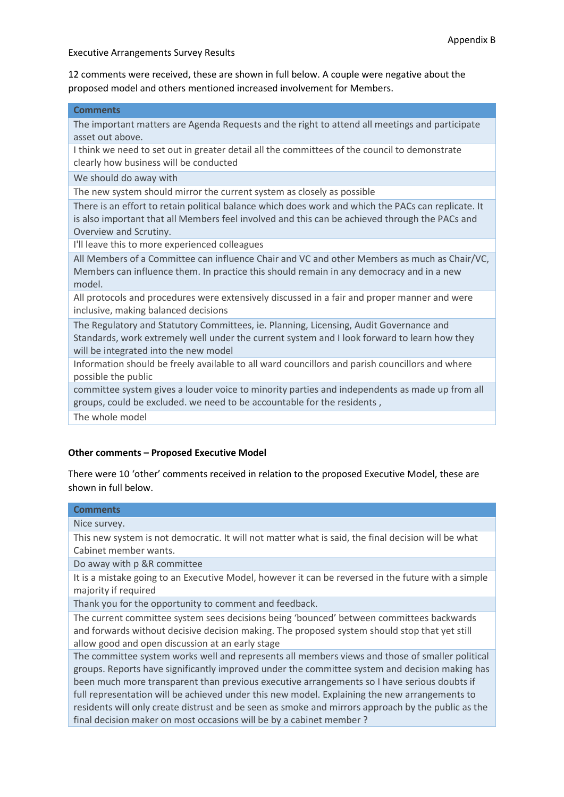12 comments were received, these are shown in full below. A couple were negative about the proposed model and others mentioned increased involvement for Members.

#### **Comments**

The important matters are Agenda Requests and the right to attend all meetings and participate asset out above.

I think we need to set out in greater detail all the committees of the council to demonstrate clearly how business will be conducted

We should do away with

The new system should mirror the current system as closely as possible

There is an effort to retain political balance which does work and which the PACs can replicate. It is also important that all Members feel involved and this can be achieved through the PACs and Overview and Scrutiny.

I'll leave this to more experienced colleagues

All Members of a Committee can influence Chair and VC and other Members as much as Chair/VC, Members can influence them. In practice this should remain in any democracy and in a new model.

All protocols and procedures were extensively discussed in a fair and proper manner and were inclusive, making balanced decisions

The Regulatory and Statutory Committees, ie. Planning, Licensing, Audit Governance and Standards, work extremely well under the current system and I look forward to learn how they will be integrated into the new model

Information should be freely available to all ward councillors and parish councillors and where possible the public

committee system gives a louder voice to minority parties and independents as made up from all groups, could be excluded. we need to be accountable for the residents ,

The whole model

### **Other comments – Proposed Executive Model**

There were 10 'other' comments received in relation to the proposed Executive Model, these are shown in full below.

# **Comments**

Nice survey.

This new system is not democratic. It will not matter what is said, the final decision will be what Cabinet member wants.

Do away with p &R committee

It is a mistake going to an Executive Model, however it can be reversed in the future with a simple majority if required

Thank you for the opportunity to comment and feedback.

The current committee system sees decisions being 'bounced' between committees backwards and forwards without decisive decision making. The proposed system should stop that yet still allow good and open discussion at an early stage

The committee system works well and represents all members views and those of smaller political groups. Reports have significantly improved under the committee system and decision making has been much more transparent than previous executive arrangements so I have serious doubts if full representation will be achieved under this new model. Explaining the new arrangements to residents will only create distrust and be seen as smoke and mirrors approach by the public as the final decision maker on most occasions will be by a cabinet member ?